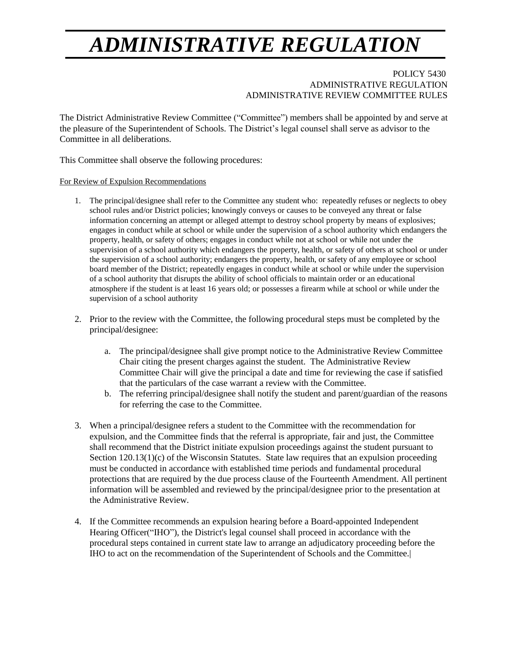## *ADMINISTRATIVE REGULATION*

## POLICY 5430 ADMINISTRATIVE REGULATION ADMINISTRATIVE REVIEW COMMITTEE RULES

The District Administrative Review Committee ("Committee") members shall be appointed by and serve at the pleasure of the Superintendent of Schools. The District's legal counsel shall serve as advisor to the Committee in all deliberations.

This Committee shall observe the following procedures:

For Review of Expulsion Recommendations

- 1. The principal/designee shall refer to the Committee any student who: repeatedly refuses or neglects to obey school rules and/or District policies; knowingly conveys or causes to be conveyed any threat or false information concerning an attempt or alleged attempt to destroy school property by means of explosives; engages in conduct while at school or while under the supervision of a school authority which endangers the property, health, or safety of others; engages in conduct while not at school or while not under the supervision of a school authority which endangers the property, health, or safety of others at school or under the supervision of a school authority; endangers the property, health, or safety of any employee or school board member of the District; repeatedly engages in conduct while at school or while under the supervision of a school authority that disrupts the ability of school officials to maintain order or an educational atmosphere if the student is at least 16 years old; or possesses a firearm while at school or while under the supervision of a school authority
- 2. Prior to the review with the Committee, the following procedural steps must be completed by the principal/designee:
	- a. The principal/designee shall give prompt notice to the Administrative Review Committee Chair citing the present charges against the student. The Administrative Review Committee Chair will give the principal a date and time for reviewing the case if satisfied that the particulars of the case warrant a review with the Committee.
	- b. The referring principal/designee shall notify the student and parent/guardian of the reasons for referring the case to the Committee.
- 3. When a principal/designee refers a student to the Committee with the recommendation for expulsion, and the Committee finds that the referral is appropriate, fair and just, the Committee shall recommend that the District initiate expulsion proceedings against the student pursuant to Section 120.13(1)(c) of the Wisconsin Statutes. State law requires that an expulsion proceeding must be conducted in accordance with established time periods and fundamental procedural protections that are required by the due process clause of the Fourteenth Amendment. All pertinent information will be assembled and reviewed by the principal/designee prior to the presentation at the Administrative Review.
- 4. If the Committee recommends an expulsion hearing before a Board-appointed Independent Hearing Officer("IHO"), the District's legal counsel shall proceed in accordance with the procedural steps contained in current state law to arrange an adjudicatory proceeding before the IHO to act on the recommendation of the Superintendent of Schools and the Committee.|